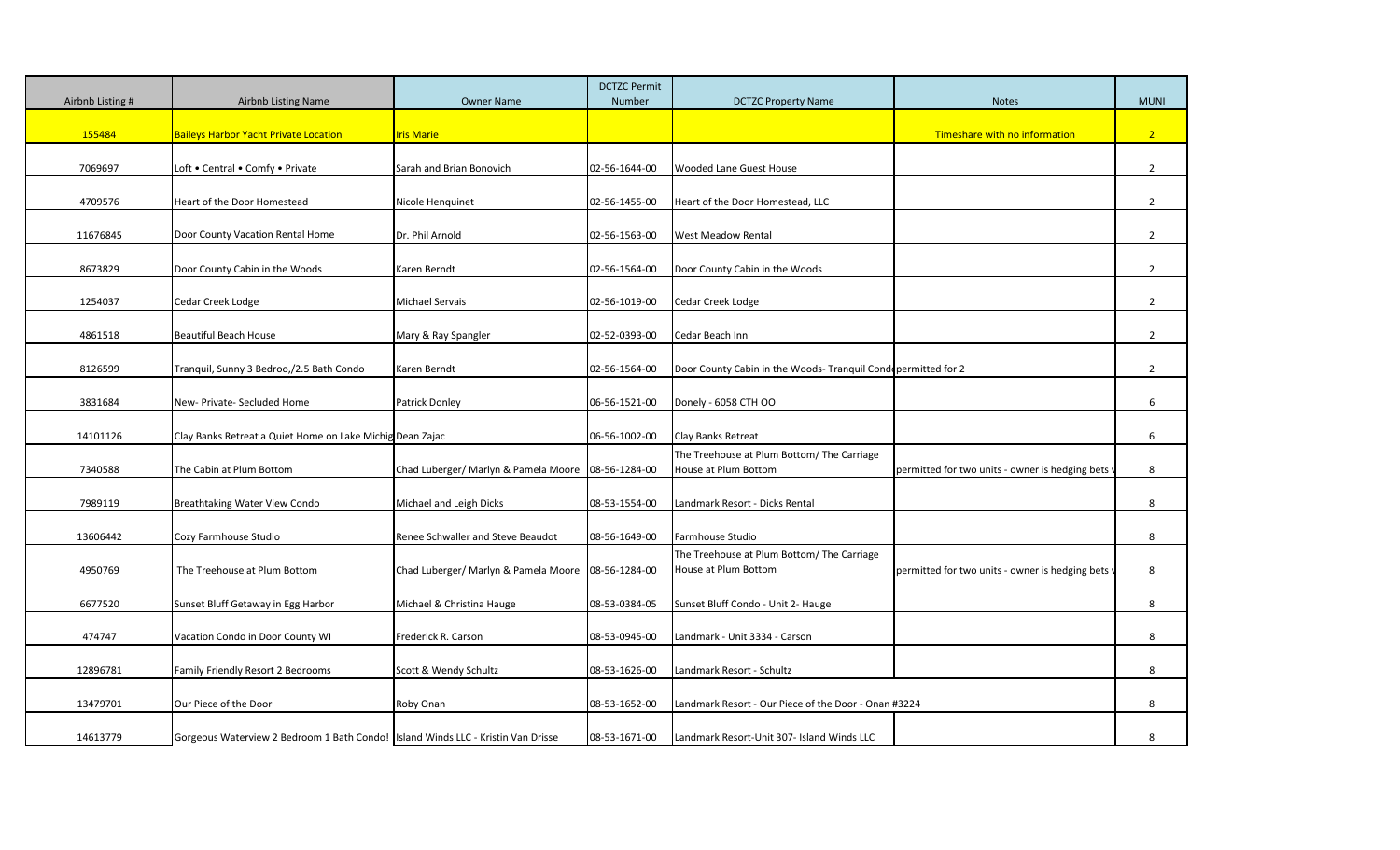| Airbnb Listing # | Airbnb Listing Name                                                              | <b>Owner Name</b>                                    | <b>DCTZC Permit</b><br>Number | <b>DCTZC Property Name</b>                                         | <b>Notes</b>                                    | <b>MUNI</b>    |
|------------------|----------------------------------------------------------------------------------|------------------------------------------------------|-------------------------------|--------------------------------------------------------------------|-------------------------------------------------|----------------|
|                  |                                                                                  |                                                      |                               |                                                                    |                                                 |                |
| 155484           | <b>Baileys Harbor Yacht Private Location</b>                                     | <b>Iris Marie</b>                                    |                               |                                                                    | Timeshare with no information                   | 2 <sup>7</sup> |
| 7069697          | Loft • Central • Comfy • Private                                                 | Sarah and Brian Bonovich                             | 02-56-1644-00                 | Wooded Lane Guest House                                            |                                                 | $\overline{2}$ |
| 4709576          | Heart of the Door Homestead                                                      | Nicole Henquinet                                     | 02-56-1455-00                 | Heart of the Door Homestead, LLC                                   |                                                 | $\overline{2}$ |
| 11676845         | Door County Vacation Rental Home                                                 | Dr. Phil Arnold                                      | 02-56-1563-00                 | West Meadow Rental                                                 |                                                 | $\overline{2}$ |
| 8673829          | Door County Cabin in the Woods                                                   | Karen Berndt                                         | 02-56-1564-00                 | Door County Cabin in the Woods                                     |                                                 | $\overline{2}$ |
| 1254037          | Cedar Creek Lodge                                                                | Michael Servais                                      | 02-56-1019-00                 | Cedar Creek Lodge                                                  |                                                 | $\overline{2}$ |
| 4861518          | <b>Beautiful Beach House</b>                                                     | Mary & Ray Spangler                                  | 02-52-0393-00                 | Cedar Beach Inn                                                    |                                                 | $\overline{2}$ |
|                  |                                                                                  |                                                      |                               |                                                                    |                                                 |                |
| 8126599          | Tranquil, Sunny 3 Bedroo,/2.5 Bath Condo                                         | Karen Berndt                                         | 02-56-1564-00                 | Door County Cabin in the Woods- Tranquil Condepermitted for 2      |                                                 | $\overline{2}$ |
| 3831684          | New- Private- Secluded Home                                                      | Patrick Donley                                       | 06-56-1521-00                 | Donely - 6058 CTH OO                                               |                                                 | 6              |
| 14101126         | Clay Banks Retreat a Quiet Home on Lake Michig Dean Zajac                        |                                                      | 06-56-1002-00                 | Clay Banks Retreat                                                 |                                                 | 6              |
| 7340588          | The Cabin at Plum Bottom                                                         | Chad Luberger/ Marlyn & Pamela Moore   08-56-1284-00 |                               | The Treehouse at Plum Bottom/ The Carriage<br>House at Plum Bottom | permitted for two units - owner is hedging bets | 8              |
| 7989119          | Breathtaking Water View Condo                                                    | Michael and Leigh Dicks                              | 08-53-1554-00                 | Landmark Resort - Dicks Rental                                     |                                                 | 8              |
| 13606442         | Cozy Farmhouse Studio                                                            | Renee Schwaller and Steve Beaudot                    | 08-56-1649-00                 | Farmhouse Studio                                                   |                                                 | 8              |
| 4950769          | The Treehouse at Plum Bottom                                                     | Chad Luberger/ Marlyn & Pamela Moore 08-56-1284-00   |                               | The Treehouse at Plum Bottom/ The Carriage<br>House at Plum Bottom | permitted for two units - owner is hedging bets | 8              |
| 6677520          | Sunset Bluff Getaway in Egg Harbor                                               | Michael & Christina Hauge                            | 08-53-0384-05                 | Sunset Bluff Condo - Unit 2- Hauge                                 |                                                 | 8              |
|                  |                                                                                  |                                                      |                               |                                                                    |                                                 |                |
| 474747           | Vacation Condo in Door County WI                                                 | Frederick R. Carson                                  | 08-53-0945-00                 | Landmark - Unit 3334 - Carson                                      |                                                 | 8              |
| 12896781         | Family Friendly Resort 2 Bedrooms                                                | Scott & Wendy Schultz                                | 08-53-1626-00                 | Landmark Resort - Schultz                                          |                                                 | 8              |
| 13479701         | Our Piece of the Door                                                            | Roby Onan                                            | 08-53-1652-00                 | Landmark Resort - Our Piece of the Door - Onan #3224               |                                                 | 8              |
| 14613779         | Gorgeous Waterview 2 Bedroom 1 Bath Condo! Island Winds LLC - Kristin Van Drisse |                                                      | 08-53-1671-00                 | Landmark Resort-Unit 307- Island Winds LLC                         |                                                 | 8              |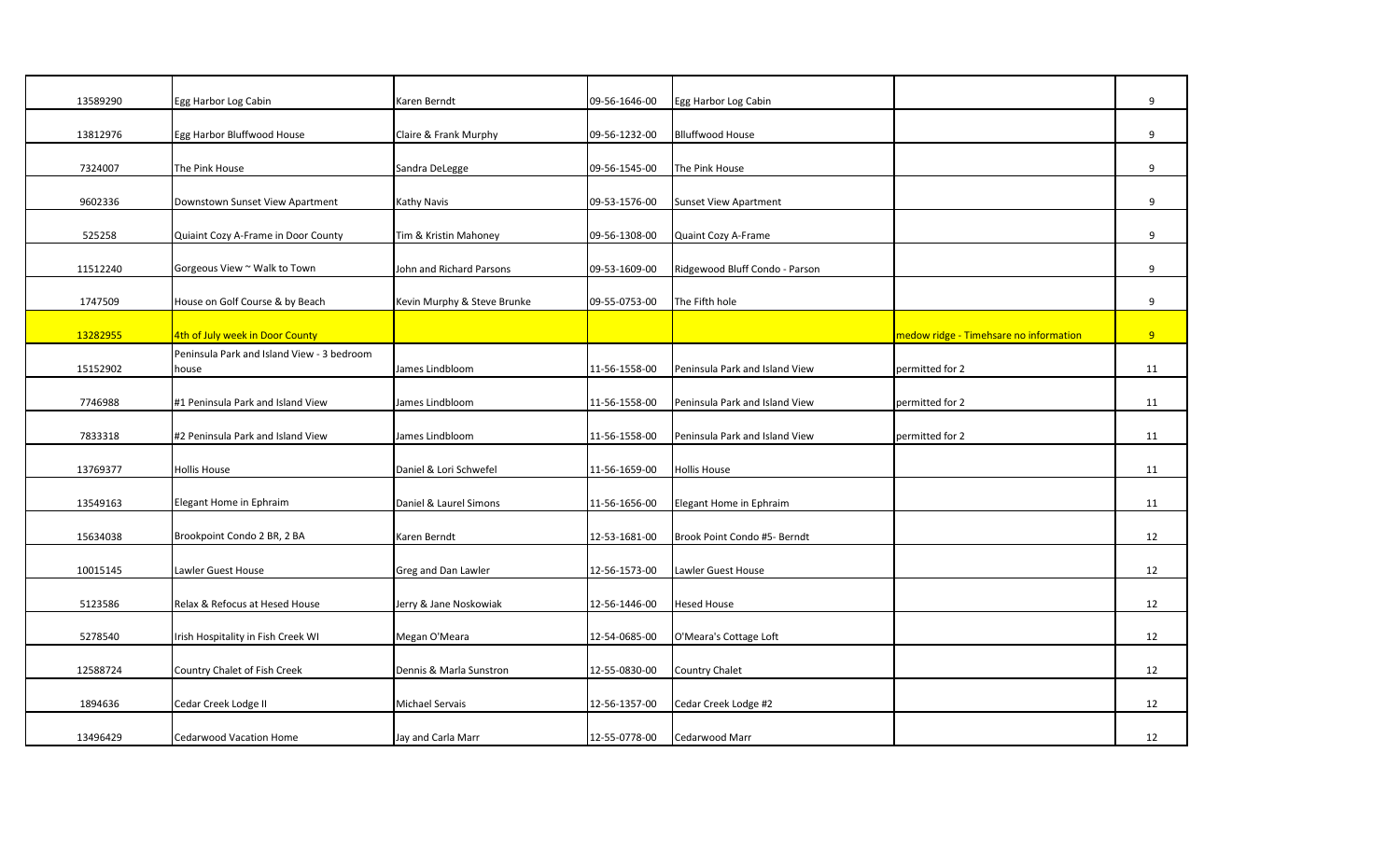| 13589290 | Egg Harbor Log Cabin                                | Karen Berndt                | 09-56-1646-00 | Egg Harbor Log Cabin           |                                        | 9  |
|----------|-----------------------------------------------------|-----------------------------|---------------|--------------------------------|----------------------------------------|----|
| 13812976 | Egg Harbor Bluffwood House                          | Claire & Frank Murphy       | 09-56-1232-00 | <b>Blluffwood House</b>        |                                        | 9  |
| 7324007  | The Pink House                                      | Sandra DeLegge              | 09-56-1545-00 | The Pink House                 |                                        | 9  |
| 9602336  | Downstown Sunset View Apartment                     | Kathy Navis                 | 09-53-1576-00 | <b>Sunset View Apartment</b>   |                                        | 9  |
| 525258   | Quiaint Cozy A-Frame in Door County                 | Tim & Kristin Mahoney       | 09-56-1308-00 | Quaint Cozy A-Frame            |                                        | 9  |
| 11512240 | Gorgeous View ~ Walk to Town                        | John and Richard Parsons    | 09-53-1609-00 | Ridgewood Bluff Condo - Parson |                                        | 9  |
| 1747509  | House on Golf Course & by Beach                     | Kevin Murphy & Steve Brunke | 09-55-0753-00 | The Fifth hole                 |                                        | 9  |
| 13282955 | 4th of July week in Door County                     |                             |               |                                | medow ridge - Timehsare no information | 9  |
| 15152902 | Peninsula Park and Island View - 3 bedroom<br>house | James Lindbloom             | 11-56-1558-00 | Peninsula Park and Island View | permitted for 2                        | 11 |
| 7746988  | #1 Peninsula Park and Island View                   | James Lindbloom             | 11-56-1558-00 | Peninsula Park and Island View | permitted for 2                        | 11 |
| 7833318  | #2 Peninsula Park and Island View                   | James Lindbloom             | 11-56-1558-00 | Peninsula Park and Island View | permitted for 2                        | 11 |
| 13769377 | <b>Hollis House</b>                                 | Daniel & Lori Schwefel      | 11-56-1659-00 | <b>Hollis House</b>            |                                        | 11 |
| 13549163 | Elegant Home in Ephraim                             | Daniel & Laurel Simons      | 11-56-1656-00 | Elegant Home in Ephraim        |                                        | 11 |
| 15634038 | Brookpoint Condo 2 BR, 2 BA                         | Karen Berndt                | 12-53-1681-00 | Brook Point Condo #5- Berndt   |                                        | 12 |
| 10015145 | Lawler Guest House                                  | Greg and Dan Lawler         | 12-56-1573-00 | Lawler Guest House             |                                        | 12 |
| 5123586  | Relax & Refocus at Hesed House                      | Jerry & Jane Noskowiak      | 12-56-1446-00 | <b>Hesed House</b>             |                                        | 12 |
| 5278540  | Irish Hospitality in Fish Creek WI                  | Megan O'Meara               | 12-54-0685-00 | O'Meara's Cottage Loft         |                                        | 12 |
| 12588724 | Country Chalet of Fish Creek                        | Dennis & Marla Sunstron     | 12-55-0830-00 | Country Chalet                 |                                        | 12 |
| 1894636  | Cedar Creek Lodge II                                | <b>Michael Servais</b>      | 12-56-1357-00 | Cedar Creek Lodge #2           |                                        | 12 |
| 13496429 | <b>Cedarwood Vacation Home</b>                      | Jay and Carla Marr          | 12-55-0778-00 | Cedarwood Marr                 |                                        | 12 |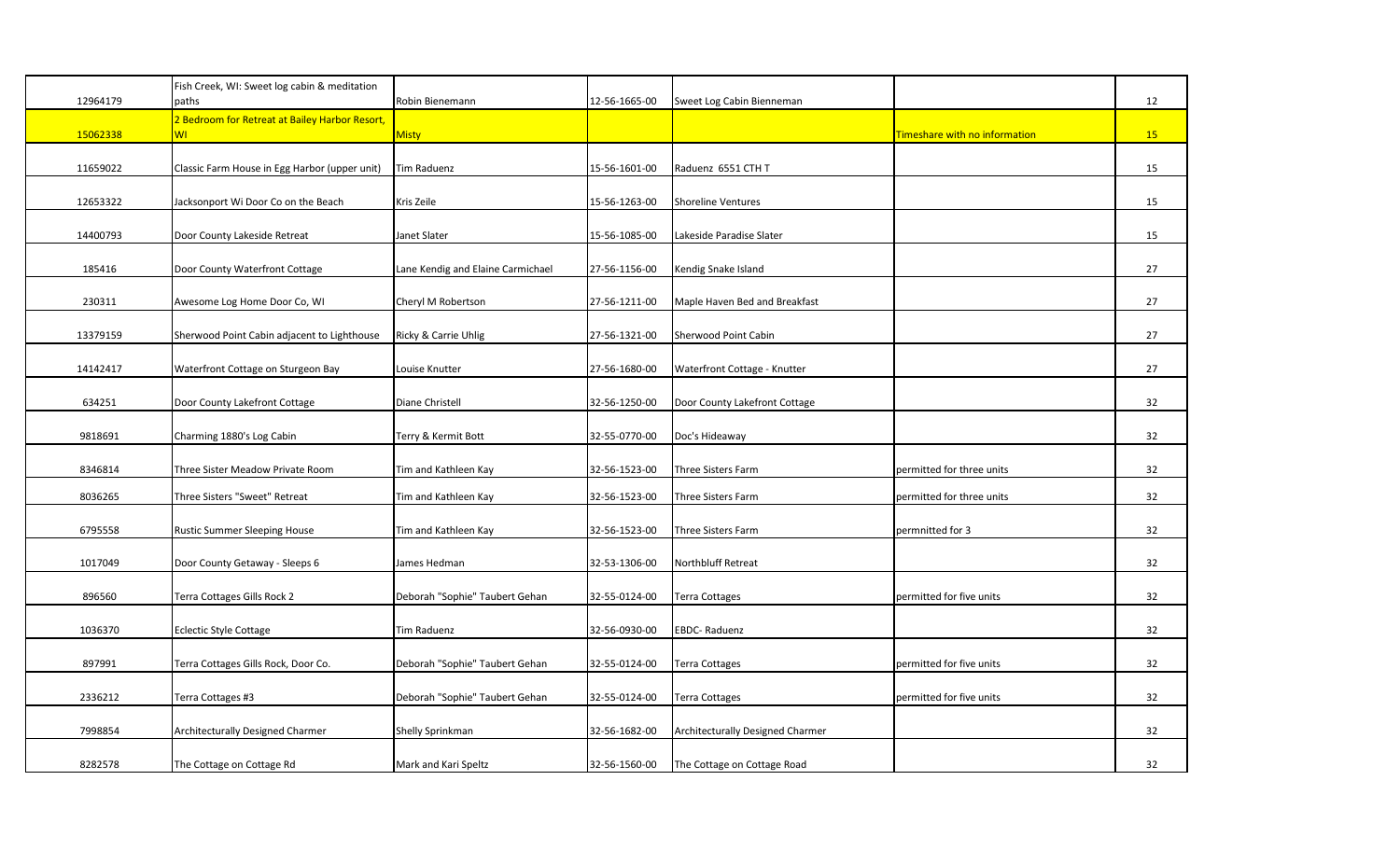| 12964179 | Fish Creek, WI: Sweet log cabin & meditation<br>paths | Robin Bienemann                   | 12-56-1665-00 | Sweet Log Cabin Bienneman        |                               | 12 |
|----------|-------------------------------------------------------|-----------------------------------|---------------|----------------------------------|-------------------------------|----|
| 15062338 | 2 Bedroom for Retreat at Bailey Harbor Resort,<br>WI  | <b>Misty</b>                      |               |                                  | Timeshare with no information | 15 |
| 11659022 | Classic Farm House in Egg Harbor (upper unit)         | Tim Raduenz                       | 15-56-1601-00 | Raduenz 6551 CTH T               |                               | 15 |
| 12653322 | Jacksonport Wi Door Co on the Beach                   | Kris Zeile                        | 15-56-1263-00 | <b>Shoreline Ventures</b>        |                               | 15 |
| 14400793 | Door County Lakeside Retreat                          | Janet Slater                      | 15-56-1085-00 | Lakeside Paradise Slater         |                               | 15 |
| 185416   | Door County Waterfront Cottage                        | Lane Kendig and Elaine Carmichael | 27-56-1156-00 | Kendig Snake Island              |                               | 27 |
| 230311   | Awesome Log Home Door Co, WI                          | Cheryl M Robertson                | 27-56-1211-00 | Maple Haven Bed and Breakfast    |                               | 27 |
| 13379159 | Sherwood Point Cabin adjacent to Lighthouse           | Ricky & Carrie Uhlig              | 27-56-1321-00 | Sherwood Point Cabin             |                               | 27 |
| 14142417 | Waterfront Cottage on Sturgeon Bay                    | Louise Knutter                    | 27-56-1680-00 | Waterfront Cottage - Knutter     |                               | 27 |
| 634251   | Door County Lakefront Cottage                         | Diane Christell                   | 32-56-1250-00 | Door County Lakefront Cottage    |                               | 32 |
| 9818691  | Charming 1880's Log Cabin                             | Terry & Kermit Bott               | 32-55-0770-00 | Doc's Hideaway                   |                               | 32 |
| 8346814  | Three Sister Meadow Private Room                      | Tim and Kathleen Kay              | 32-56-1523-00 | Three Sisters Farm               | permitted for three units     | 32 |
| 8036265  | Three Sisters "Sweet" Retreat                         | Tim and Kathleen Kay              | 32-56-1523-00 | Three Sisters Farm               | permitted for three units     | 32 |
| 6795558  | Rustic Summer Sleeping House                          | Tim and Kathleen Kay              | 32-56-1523-00 | Three Sisters Farm               | permnitted for 3              | 32 |
| 1017049  | Door County Getaway - Sleeps 6                        | James Hedman                      | 32-53-1306-00 | Northbluff Retreat               |                               | 32 |
| 896560   | Terra Cottages Gills Rock 2                           | Deborah "Sophie" Taubert Gehan    | 32-55-0124-00 | Terra Cottages                   | permitted for five units      | 32 |
| 1036370  | <b>Eclectic Style Cottage</b>                         | Tim Raduenz                       | 32-56-0930-00 | EBDC-Raduenz                     |                               | 32 |
| 897991   | Terra Cottages Gills Rock, Door Co.                   | Deborah "Sophie" Taubert Gehan    | 32-55-0124-00 | <b>Terra Cottages</b>            | permitted for five units      | 32 |
| 2336212  | Terra Cottages #3                                     | Deborah "Sophie" Taubert Gehan    | 32-55-0124-00 | Terra Cottages                   | permitted for five units      | 32 |
| 7998854  | Architecturally Designed Charmer                      | Shelly Sprinkman                  | 32-56-1682-00 | Architecturally Designed Charmer |                               | 32 |
| 8282578  | The Cottage on Cottage Rd                             | Mark and Kari Speltz              | 32-56-1560-00 | The Cottage on Cottage Road      |                               | 32 |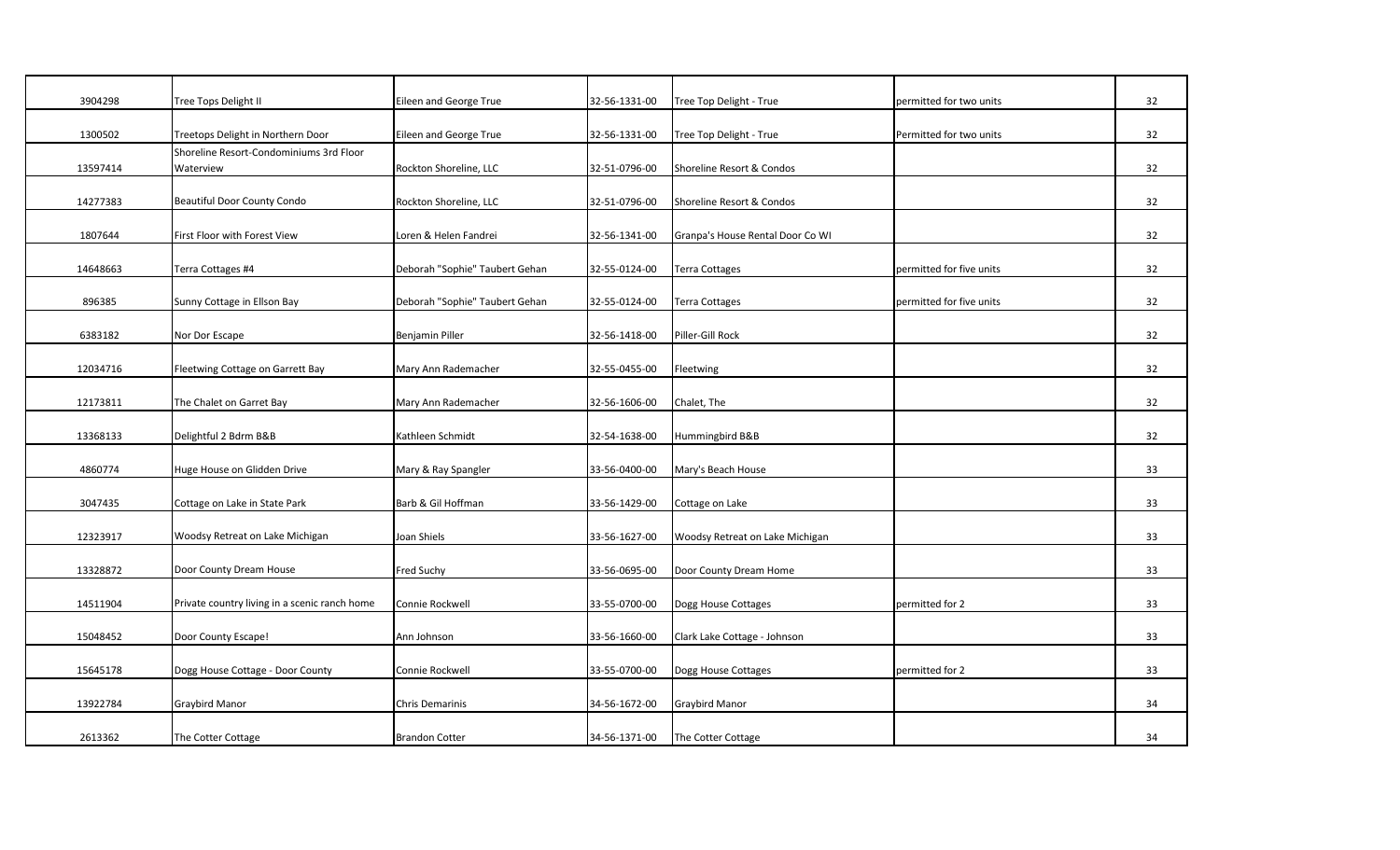| 3904298  | Tree Tops Delight II                          | Eileen and George True         | 32-56-1331-00 | Tree Top Delight - True          | permitted for two units  | 32 |
|----------|-----------------------------------------------|--------------------------------|---------------|----------------------------------|--------------------------|----|
| 1300502  | Treetops Delight in Northern Door             | Eileen and George True         | 32-56-1331-00 | Tree Top Delight - True          | Permitted for two units  | 32 |
|          | Shoreline Resort-Condominiums 3rd Floor       |                                |               |                                  |                          |    |
| 13597414 | Waterview                                     | Rockton Shoreline, LLC         | 32-51-0796-00 | Shoreline Resort & Condos        |                          | 32 |
| 14277383 | Beautiful Door County Condo                   | Rockton Shoreline, LLC         | 32-51-0796-00 | Shoreline Resort & Condos        |                          | 32 |
| 1807644  | First Floor with Forest View                  | Loren & Helen Fandrei          | 32-56-1341-00 | Granpa's House Rental Door Co WI |                          | 32 |
| 14648663 | Terra Cottages #4                             | Deborah "Sophie" Taubert Gehan | 32-55-0124-00 | <b>Terra Cottages</b>            | permitted for five units | 32 |
| 896385   | Sunny Cottage in Ellson Bay                   | Deborah "Sophie" Taubert Gehan | 32-55-0124-00 | <b>Terra Cottages</b>            | permitted for five units | 32 |
| 6383182  | Nor Dor Escape                                | Benjamin Piller                | 32-56-1418-00 | Piller-Gill Rock                 |                          | 32 |
| 12034716 | Fleetwing Cottage on Garrett Bay              | Mary Ann Rademacher            | 32-55-0455-00 | Fleetwing                        |                          | 32 |
| 12173811 | The Chalet on Garret Bay                      | Mary Ann Rademacher            | 32-56-1606-00 | Chalet, The                      |                          | 32 |
| 13368133 | Delightful 2 Bdrm B&B                         | Kathleen Schmidt               | 32-54-1638-00 | Hummingbird B&B                  |                          | 32 |
| 4860774  | Huge House on Glidden Drive                   | Mary & Ray Spangler            | 33-56-0400-00 | Mary's Beach House               |                          | 33 |
| 3047435  | Cottage on Lake in State Park                 | Barb & Gil Hoffman             | 33-56-1429-00 | Cottage on Lake                  |                          | 33 |
| 12323917 | Woodsy Retreat on Lake Michigan               | Joan Shiels                    | 33-56-1627-00 | Woodsy Retreat on Lake Michigan  |                          | 33 |
| 13328872 | Door County Dream House                       | Fred Suchy                     | 33-56-0695-00 | Door County Dream Home           |                          | 33 |
| 14511904 | Private country living in a scenic ranch home | Connie Rockwell                | 33-55-0700-00 | Dogg House Cottages              | permitted for 2          | 33 |
| 15048452 | Door County Escape!                           | Ann Johnson                    | 33-56-1660-00 | Clark Lake Cottage - Johnson     |                          | 33 |
| 15645178 | Dogg House Cottage - Door County              | Connie Rockwell                | 33-55-0700-00 | Dogg House Cottages              | permitted for 2          | 33 |
| 13922784 | Graybird Manor                                | Chris Demarinis                | 34-56-1672-00 | <b>Graybird Manor</b>            |                          | 34 |
| 2613362  | The Cotter Cottage                            | <b>Brandon Cotter</b>          | 34-56-1371-00 | The Cotter Cottage               |                          | 34 |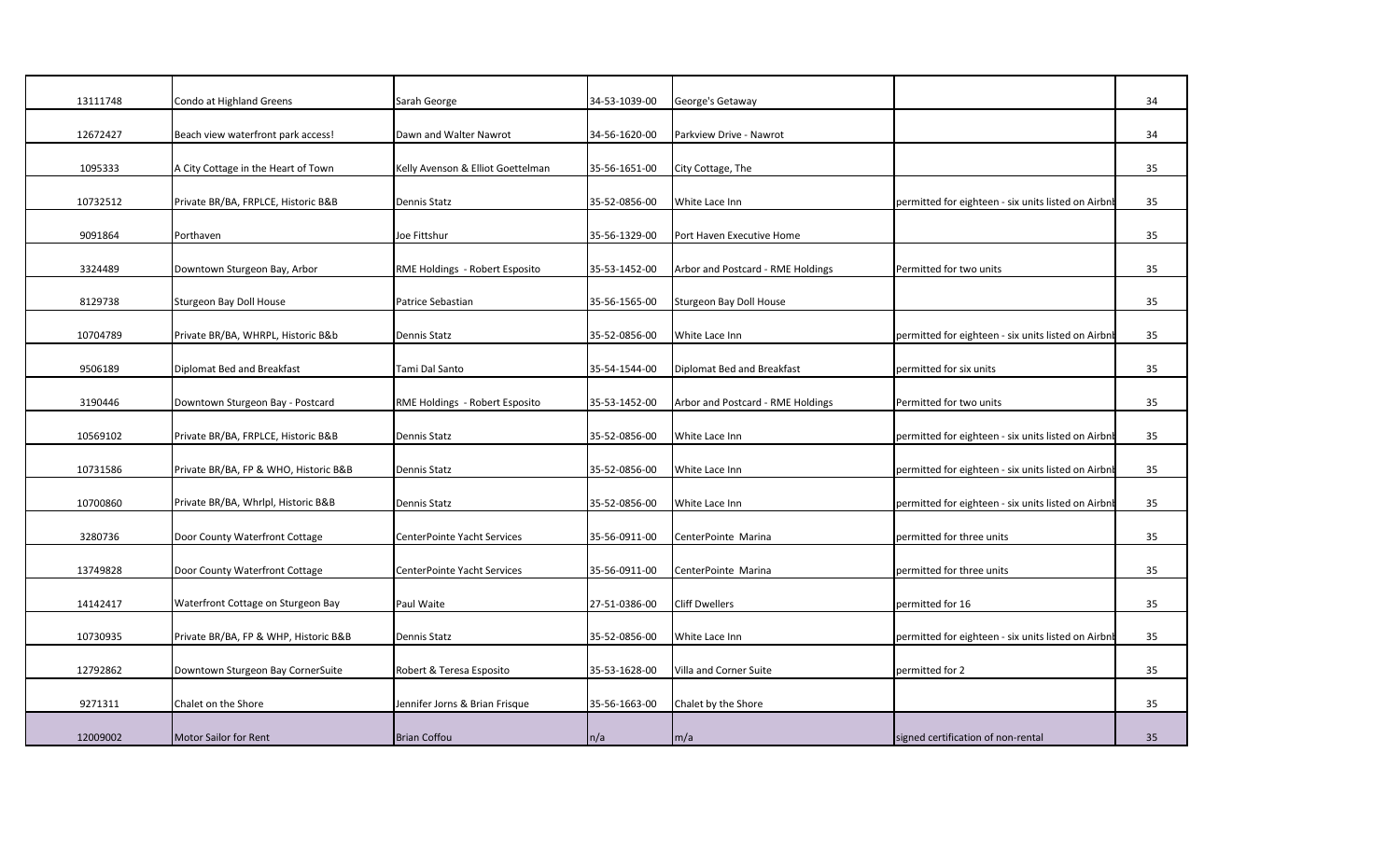| 13111748 | Condo at Highland Greens              | Sarah George                       | 34-53-1039-00 | George's Getaway                  |                                                    | 34 |
|----------|---------------------------------------|------------------------------------|---------------|-----------------------------------|----------------------------------------------------|----|
| 12672427 | Beach view waterfront park access!    | Dawn and Walter Nawrot             | 34-56-1620-00 | Parkview Drive - Nawrot           |                                                    | 34 |
| 1095333  | A City Cottage in the Heart of Town   | Kelly Avenson & Elliot Goettelman  | 35-56-1651-00 | City Cottage, The                 |                                                    | 35 |
| 10732512 | Private BR/BA, FRPLCE, Historic B&B   | Dennis Statz                       | 35-52-0856-00 | White Lace Inn                    | permitted for eighteen - six units listed on Airbn | 35 |
| 9091864  | Porthaven                             | Joe Fittshur                       | 35-56-1329-00 | Port Haven Executive Home         |                                                    | 35 |
| 3324489  | Downtown Sturgeon Bay, Arbor          | RME Holdings - Robert Esposito     | 35-53-1452-00 | Arbor and Postcard - RME Holdings | Permitted for two units                            | 35 |
| 8129738  | Sturgeon Bay Doll House               | Patrice Sebastian                  | 35-56-1565-00 | Sturgeon Bay Doll House           |                                                    | 35 |
| 10704789 | Private BR/BA, WHRPL, Historic B&b    | Dennis Statz                       | 35-52-0856-00 | White Lace Inn                    | permitted for eighteen - six units listed on Airbn | 35 |
| 9506189  | Diplomat Bed and Breakfast            | Tami Dal Santo                     | 35-54-1544-00 | Diplomat Bed and Breakfast        | permitted for six units                            | 35 |
| 3190446  | Downtown Sturgeon Bay - Postcard      | RME Holdings - Robert Esposito     | 35-53-1452-00 | Arbor and Postcard - RME Holdings | Permitted for two units                            | 35 |
| 10569102 | Private BR/BA, FRPLCE, Historic B&B   | Dennis Statz                       | 35-52-0856-00 | White Lace Inn                    | permitted for eighteen - six units listed on Airbn | 35 |
| 10731586 | Private BR/BA, FP & WHO, Historic B&B | Dennis Statz                       | 35-52-0856-00 | White Lace Inn                    | permitted for eighteen - six units listed on Airbn | 35 |
| 10700860 | Private BR/BA, Whrlpl, Historic B&B   | Dennis Statz                       | 35-52-0856-00 | White Lace Inn                    | permitted for eighteen - six units listed on Airbn | 35 |
| 3280736  | Door County Waterfront Cottage        | <b>CenterPointe Yacht Services</b> | 35-56-0911-00 | CenterPointe Marina               | permitted for three units                          | 35 |
| 13749828 | Door County Waterfront Cottage        | CenterPointe Yacht Services        | 35-56-0911-00 | CenterPointe Marina               | permitted for three units                          | 35 |
| 14142417 | Waterfront Cottage on Sturgeon Bay    | Paul Waite                         | 27-51-0386-00 | <b>Cliff Dwellers</b>             | permitted for 16                                   | 35 |
| 10730935 | Private BR/BA, FP & WHP, Historic B&B | Dennis Statz                       | 35-52-0856-00 | White Lace Inn                    | permitted for eighteen - six units listed on Airbn | 35 |
| 12792862 | Downtown Sturgeon Bay CornerSuite     | Robert & Teresa Esposito           | 35-53-1628-00 | Villa and Corner Suite            | permitted for 2                                    | 35 |
| 9271311  | Chalet on the Shore                   | Jennifer Jorns & Brian Frisque     | 35-56-1663-00 | Chalet by the Shore               |                                                    | 35 |
| 12009002 | <b>Motor Sailor for Rent</b>          | <b>Brian Coffou</b>                | n/a           | m/a                               | signed certification of non-rental                 | 35 |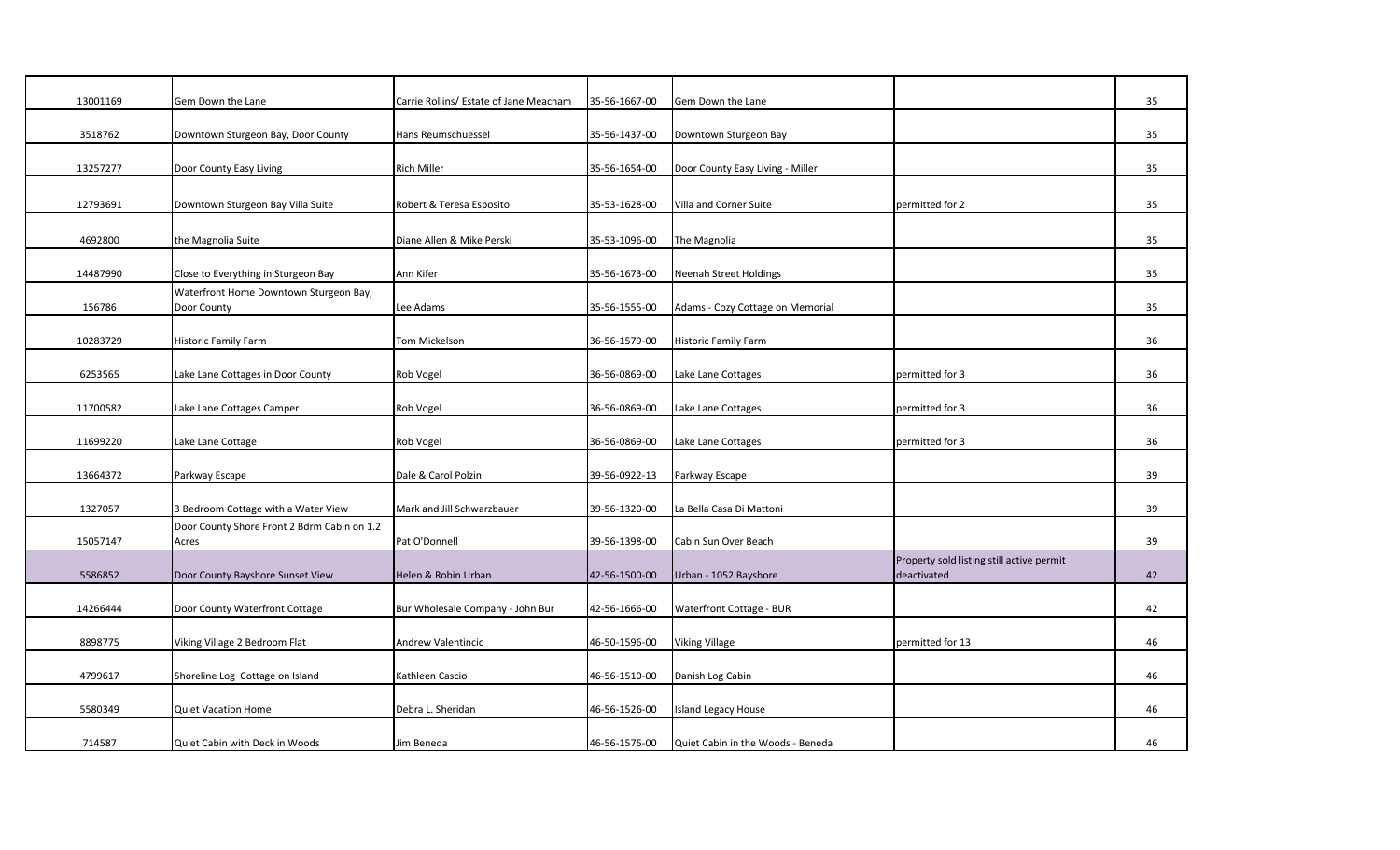| 13001169 | Gem Down the Lane                           | Carrie Rollins/ Estate of Jane Meacham | 35-56-1667-00 | Gem Down the Lane                 |                                           | 35 |
|----------|---------------------------------------------|----------------------------------------|---------------|-----------------------------------|-------------------------------------------|----|
| 3518762  | Downtown Sturgeon Bay, Door County          | Hans Reumschuessel                     | 35-56-1437-00 | Downtown Sturgeon Bay             |                                           | 35 |
|          |                                             |                                        |               |                                   |                                           |    |
| 13257277 | Door County Easy Living                     | <b>Rich Miller</b>                     | 35-56-1654-00 | Door County Easy Living - Miller  |                                           | 35 |
| 12793691 | Downtown Sturgeon Bay Villa Suite           | Robert & Teresa Esposito               | 35-53-1628-00 | Villa and Corner Suite            | permitted for 2                           | 35 |
|          |                                             |                                        |               |                                   |                                           |    |
| 4692800  | the Magnolia Suite                          | Diane Allen & Mike Perski              | 35-53-1096-00 | The Magnolia                      |                                           | 35 |
| 14487990 | Close to Everything in Sturgeon Bay         | Ann Kifer                              | 35-56-1673-00 | Neenah Street Holdings            |                                           | 35 |
|          | Waterfront Home Downtown Sturgeon Bay,      |                                        |               |                                   |                                           |    |
| 156786   | Door County                                 | Lee Adams                              | 35-56-1555-00 | Adams - Cozy Cottage on Memorial  |                                           | 35 |
| 10283729 | <b>Historic Family Farm</b>                 | Tom Mickelson                          | 36-56-1579-00 | <b>Historic Family Farm</b>       |                                           | 36 |
|          |                                             |                                        |               |                                   |                                           |    |
| 6253565  | Lake Lane Cottages in Door County           | Rob Vogel                              | 36-56-0869-00 | Lake Lane Cottages                | permitted for 3                           | 36 |
| 11700582 | Lake Lane Cottages Camper                   | Rob Vogel                              | 36-56-0869-00 | Lake Lane Cottages                | permitted for 3                           | 36 |
|          |                                             |                                        |               |                                   |                                           |    |
| 11699220 | Lake Lane Cottage                           | Rob Vogel                              | 36-56-0869-00 | Lake Lane Cottages                | permitted for 3                           | 36 |
|          |                                             |                                        |               |                                   |                                           |    |
| 13664372 | Parkway Escape                              | Dale & Carol Polzin                    | 39-56-0922-13 | Parkway Escape                    |                                           | 39 |
| 1327057  | <b>B</b> Bedroom Cottage with a Water View  | Mark and Jill Schwarzbauer             | 39-56-1320-00 | La Bella Casa Di Mattoni          |                                           | 39 |
|          | Door County Shore Front 2 Bdrm Cabin on 1.2 |                                        |               |                                   |                                           |    |
| 15057147 | Acres                                       | Pat O'Donnell                          | 39-56-1398-00 | Cabin Sun Over Beach              |                                           | 39 |
|          |                                             |                                        |               |                                   | Property sold listing still active permit |    |
| 5586852  | Door County Bayshore Sunset View            | Helen & Robin Urban                    | 42-56-1500-00 | Urban - 1052 Bayshore             | deactivated                               | 42 |
| 14266444 | Door County Waterfront Cottage              | Bur Wholesale Company - John Bur       | 42-56-1666-00 | Waterfront Cottage - BUR          |                                           | 42 |
|          |                                             |                                        |               |                                   |                                           |    |
| 8898775  | Viking Village 2 Bedroom Flat               | Andrew Valentincic                     | 46-50-1596-00 | <b>Viking Village</b>             | permitted for 13                          | 46 |
| 4799617  | Shoreline Log Cottage on Island             | Kathleen Cascio                        | 46-56-1510-00 | Danish Log Cabin                  |                                           | 46 |
|          |                                             |                                        |               |                                   |                                           |    |
| 5580349  | <b>Quiet Vacation Home</b>                  | Debra L. Sheridan                      | 46-56-1526-00 | Island Legacy House               |                                           | 46 |
| 714587   | Quiet Cabin with Deck in Woods              | Jim Beneda                             | 46-56-1575-00 | Quiet Cabin in the Woods - Beneda |                                           | 46 |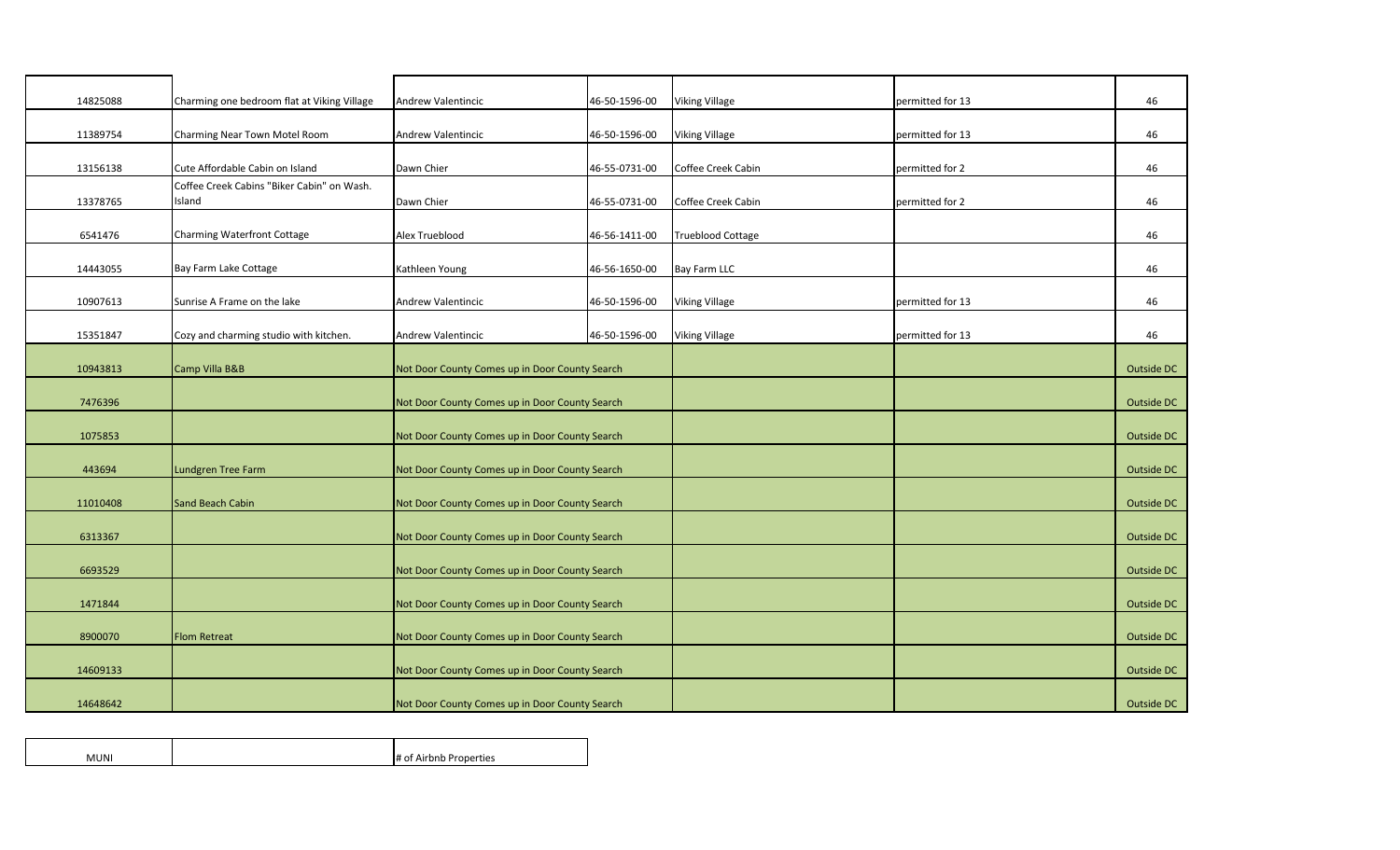| 14825088 | Charming one bedroom flat at Viking Village | <b>Andrew Valentincic</b>                      | 46-50-1596-00 | <b>Viking Village</b>    | permitted for 13 | 46         |
|----------|---------------------------------------------|------------------------------------------------|---------------|--------------------------|------------------|------------|
|          |                                             |                                                |               |                          |                  |            |
| 11389754 | Charming Near Town Motel Room               | Andrew Valentincic                             | 46-50-1596-00 | <b>Viking Village</b>    | permitted for 13 | 46         |
| 13156138 | Cute Affordable Cabin on Island             | Dawn Chier                                     | 46-55-0731-00 | Coffee Creek Cabin       | permitted for 2  | 46         |
|          | Coffee Creek Cabins "Biker Cabin" on Wash.  |                                                |               |                          |                  |            |
| 13378765 | Island                                      | Dawn Chier                                     | 46-55-0731-00 | Coffee Creek Cabin       | permitted for 2  | 46         |
|          |                                             |                                                |               |                          |                  |            |
| 6541476  | <b>Charming Waterfront Cottage</b>          | Alex Trueblood                                 | 46-56-1411-00 | <b>Trueblood Cottage</b> |                  | 46         |
|          |                                             |                                                |               |                          |                  |            |
| 14443055 | Bay Farm Lake Cottage                       | Kathleen Young                                 | 46-56-1650-00 | Bay Farm LLC             |                  | 46         |
|          |                                             |                                                |               |                          |                  |            |
| 10907613 | Sunrise A Frame on the lake                 | <b>Andrew Valentincic</b>                      | 46-50-1596-00 | <b>Viking Village</b>    | permitted for 13 | 46         |
|          |                                             |                                                |               |                          |                  |            |
| 15351847 | Cozy and charming studio with kitchen.      | <b>Andrew Valentincic</b>                      | 46-50-1596-00 | <b>Viking Village</b>    | permitted for 13 | 46         |
| 10943813 | Camp Villa B&B                              | Not Door County Comes up in Door County Search |               |                          |                  | Outside DC |
|          |                                             |                                                |               |                          |                  |            |
| 7476396  |                                             | Not Door County Comes up in Door County Search |               |                          |                  | Outside DC |
|          |                                             |                                                |               |                          |                  |            |
| 1075853  |                                             | Not Door County Comes up in Door County Search |               |                          |                  | Outside DC |
|          |                                             |                                                |               |                          |                  |            |
| 443694   | <b>Lundgren Tree Farm</b>                   | Not Door County Comes up in Door County Search |               |                          |                  | Outside DC |
|          |                                             |                                                |               |                          |                  |            |
| 11010408 | Sand Beach Cabin                            | Not Door County Comes up in Door County Search |               |                          |                  | Outside DC |
|          |                                             |                                                |               |                          |                  |            |
| 6313367  |                                             | Not Door County Comes up in Door County Search |               |                          |                  | Outside DC |
|          |                                             |                                                |               |                          |                  |            |
| 6693529  |                                             | Not Door County Comes up in Door County Search |               |                          |                  | Outside DC |
|          |                                             |                                                |               |                          |                  |            |
| 1471844  |                                             | Not Door County Comes up in Door County Search |               |                          |                  | Outside DC |
| 8900070  | <b>Flom Retreat</b>                         | Not Door County Comes up in Door County Search |               |                          |                  | Outside DC |
|          |                                             |                                                |               |                          |                  |            |
| 14609133 |                                             | Not Door County Comes up in Door County Search |               |                          |                  | Outside DC |
|          |                                             |                                                |               |                          |                  |            |
| 14648642 |                                             | Not Door County Comes up in Door County Search |               |                          |                  | Outside DC |

MUNI **All Accords**  $\sharp$  of Airbnb Properties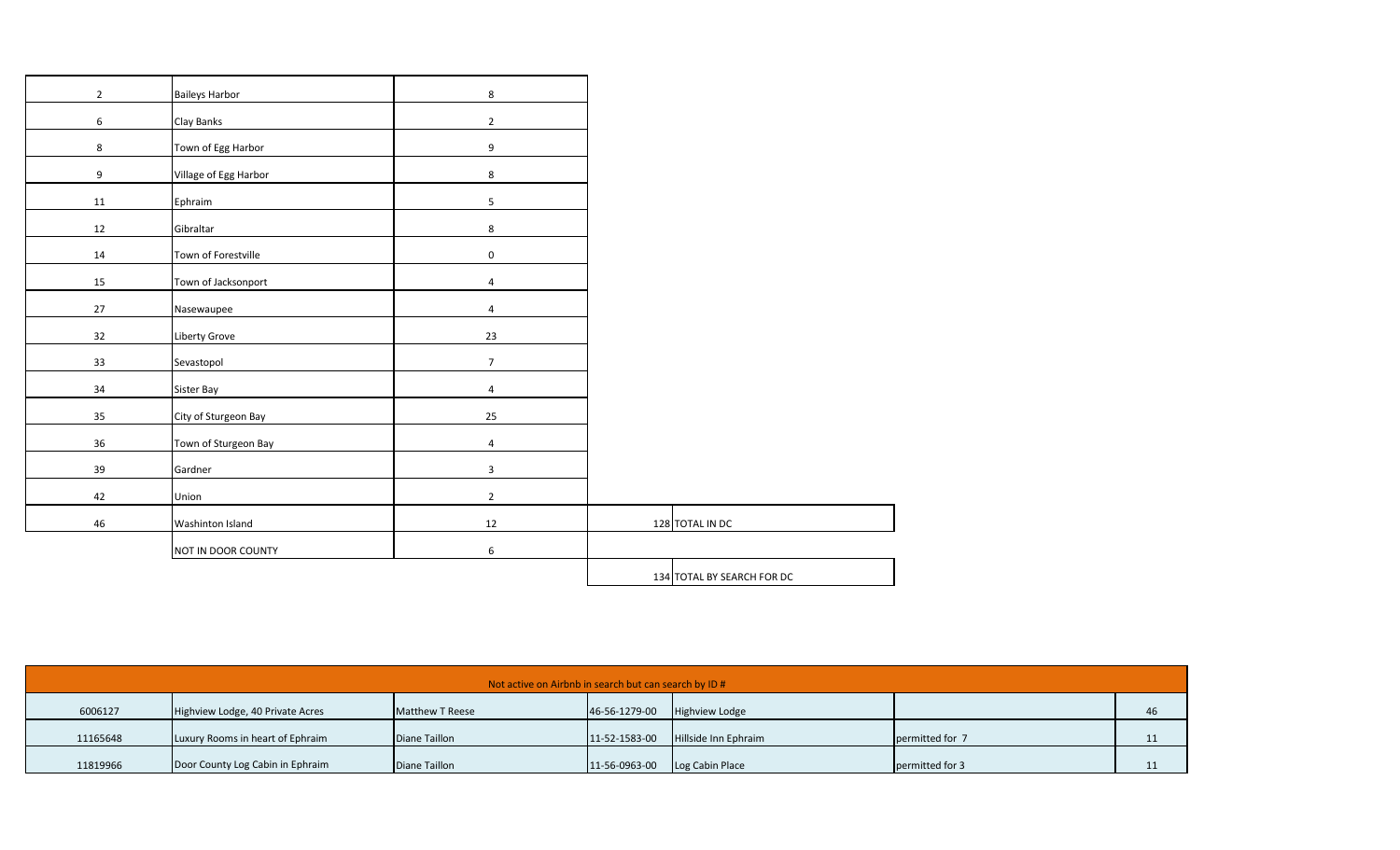| $\overline{2}$ | <b>Baileys Harbor</b> | 8                |                            |
|----------------|-----------------------|------------------|----------------------------|
| 6              | Clay Banks            | $\overline{2}$   |                            |
| 8              | Town of Egg Harbor    | 9                |                            |
| 9              | Village of Egg Harbor | 8                |                            |
| $11\,$         | Ephraim               | 5 <sub>1</sub>   |                            |
| 12             | Gibraltar             | 8                |                            |
| $14\,$         | Town of Forestville   | $\pmb{0}$        |                            |
| 15             | Town of Jacksonport   | 4                |                            |
| 27             | Nasewaupee            | $\overline{a}$   |                            |
| 32             | Liberty Grove         | 23               |                            |
| 33             | Sevastopol            | $\overline{7}$   |                            |
| 34             | Sister Bay            | 4                |                            |
| 35             |                       | 25               |                            |
|                | City of Sturgeon Bay  |                  |                            |
| 36             | Town of Sturgeon Bay  | $\overline{a}$   |                            |
| 39             | Gardner               | $\mathbf{3}$     |                            |
| 42             | Union                 | $\overline{2}$   |                            |
| 46             | Washinton Island      | $12\,$           | 128 TOTAL IN DC            |
|                | NOT IN DOOR COUNTY    | $\boldsymbol{6}$ |                            |
|                |                       |                  | 134 TOTAL BY SEARCH FOR DC |

| Not active on Airbnb in search but can search by ID # |                                  |                        |               |                      |                 |    |  |
|-------------------------------------------------------|----------------------------------|------------------------|---------------|----------------------|-----------------|----|--|
| 6006127                                               | Highview Lodge, 40 Private Acres | <b>Matthew T Reese</b> | 46-56-1279-00 | Highview Lodge       |                 | 46 |  |
| 11165648                                              | Luxury Rooms in heart of Ephraim | Diane Taillon          | 11-52-1583-00 | Hillside Inn Ephraim | permitted for 7 |    |  |
| 11819966                                              | Door County Log Cabin in Ephraim | Diane Taillon          | 11-56-0963-00 | Log Cabin Place      | permitted for 3 |    |  |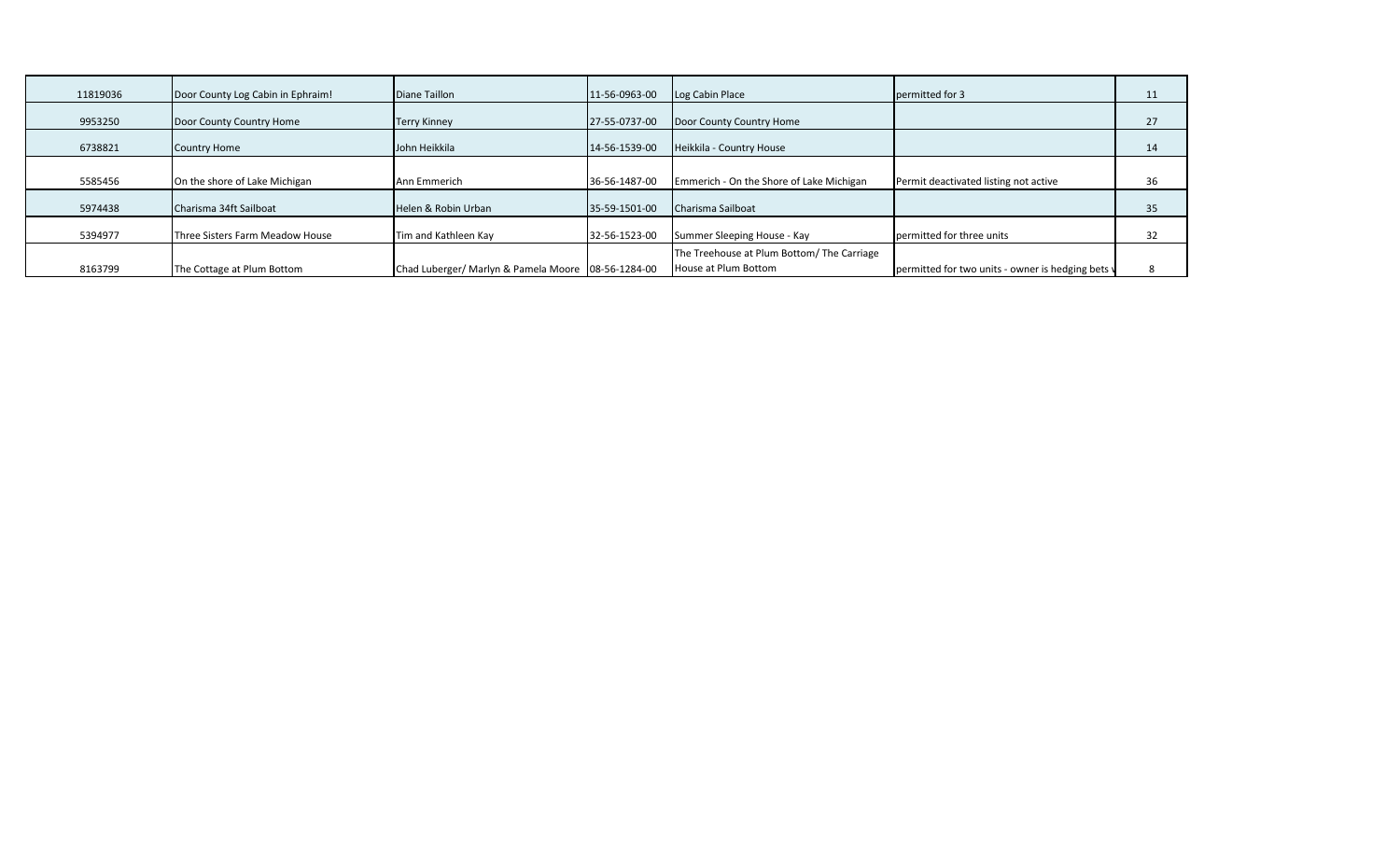| 11819036 | Door County Log Cabin in Ephraim! | Diane Taillon                                      | 11-56-0963-00 | Log Cabin Place                                                    | permitted for 3                                   | 11 |
|----------|-----------------------------------|----------------------------------------------------|---------------|--------------------------------------------------------------------|---------------------------------------------------|----|
| 9953250  | Door County Country Home          | <b>Terry Kinney</b>                                | 27-55-0737-00 | Door County Country Home                                           |                                                   | 27 |
| 6738821  | <b>Country Home</b>               | John Heikkila                                      | 14-56-1539-00 | Heikkila - Country House                                           |                                                   | 14 |
| 5585456  | On the shore of Lake Michigan     | Ann Emmerich                                       | 36-56-1487-00 | Emmerich - On the Shore of Lake Michigan                           | Permit deactivated listing not active             | 36 |
| 5974438  | Charisma 34ft Sailboat            | Helen & Robin Urban                                | 35-59-1501-00 | Charisma Sailboat                                                  |                                                   | 35 |
| 5394977  | Three Sisters Farm Meadow House   | Tim and Kathleen Kay                               | 32-56-1523-00 | Summer Sleeping House - Kay                                        | permitted for three units                         | 32 |
| 8163799  | The Cottage at Plum Bottom        | Chad Luberger/ Marlyn & Pamela Moore 08-56-1284-00 |               | The Treehouse at Plum Bottom/ The Carriage<br>House at Plum Bottom | permitted for two units - owner is hedging bets y |    |